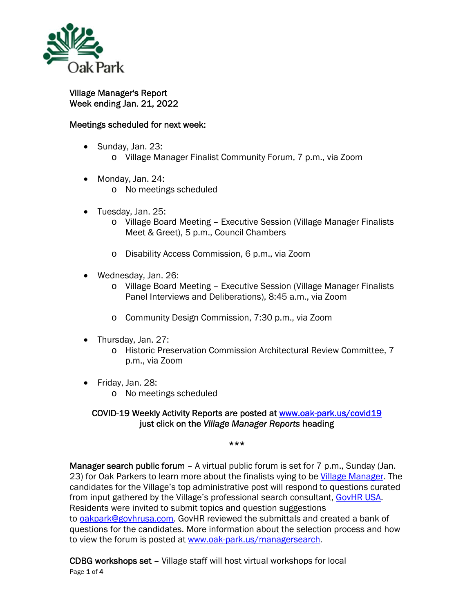

## Village Manager's Report Week ending Jan. 21, 2022

## Meetings scheduled for next week:

- Sunday, Jan. 23: o Village Manager Finalist Community Forum, 7 p.m., via Zoom
- Monday, Jan. 24:
	- o No meetings scheduled
- Tuesday, Jan. 25:
	- o Village Board Meeting Executive Session (Village Manager Finalists Meet & Greet), 5 p.m., Council Chambers
	- o Disability Access Commission, 6 p.m., via Zoom
- Wednesday, Jan. 26:
	- o Village Board Meeting Executive Session (Village Manager Finalists Panel Interviews and Deliberations), 8:45 a.m., via Zoom
	- o Community Design Commission, 7:30 p.m., via Zoom
- Thursday, Jan. 27:
	- o Historic Preservation Commission Architectural Review Committee, 7 p.m., via Zoom
- Friday, Jan. 28:
	- o No meetings scheduled

## COVID-19 Weekly Activity Reports are posted at www.oak-park.us/covid19 just click on the *Village Manager Reports* heading

## \*\*\*

Manager search public forum – A virtual public forum is set for 7 p.m., Sunday (Jan. 23) for Oak Parkers to learn more about the finalists vying to be Village Manager. The candidates for the Village's top administrative post will respond to questions curated from input gathered by the Village's professional search consultant, GovHR USA. Residents were invited to submit topics and question suggestions to oakpark@govhrusa.com. GovHR reviewed the submittals and created a bank of questions for the candidates. More information about the selection process and how to view the forum is posted at www.oak-park.us/managersearch.

Page 1 of 4 CDBG workshops set – Village staff will host virtual workshops for local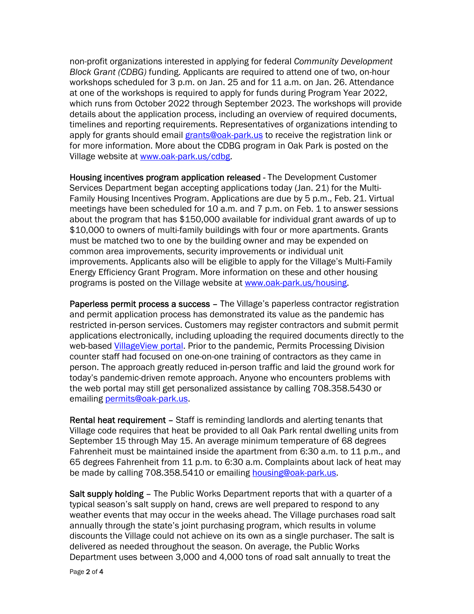non-profit organizations interested in applying for federal *Community Development Block Grant (CDBG)* funding. Applicants are required to attend one of two, on-hour workshops scheduled for 3 p.m. on Jan. 25 and for 11 a.m. on Jan. 26. Attendance at one of the workshops is required to apply for funds during Program Year 2022, which runs from October 2022 through September 2023. The workshops will provide details about the application process, including an overview of required documents, timelines and reporting requirements. Representatives of organizations intending to apply for grants should email grants@oak-park.us to receive the registration link or for more information. More about the CDBG program in Oak Park is posted on the Village website at www.oak-park.us/cdbg.

Housing incentives program application released - The Development Customer Services Department began accepting applications today (Jan. 21) for the Multi-Family Housing Incentives Program. Applications are due by 5 p.m., Feb. 21. Virtual meetings have been scheduled for 10 a.m. and 7 p.m. on Feb. 1 to answer sessions about the program that has \$150,000 available for individual grant awards of up to \$10,000 to owners of multi-family buildings with four or more apartments. Grants must be matched two to one by the building owner and may be expended on common area improvements, security improvements or individual unit improvements. Applicants also will be eligible to apply for the Village's Multi-Family Energy Efficiency Grant Program. More information on these and other housing programs is posted on the Village website at www.oak-park.us/housing.

Paperless permit process a success – The Village's paperless contractor registration and permit application process has demonstrated its value as the pandemic has restricted in-person services. Customers may register contractors and submit permit applications electronically, including uploading the required documents directly to the web-based VillageView portal. Prior to the pandemic, Permits Processing Division counter staff had focused on one-on-one training of contractors as they came in person. The approach greatly reduced in-person traffic and laid the ground work for today's pandemic-driven remote approach. Anyone who encounters problems with the web portal may still get personalized assistance by calling 708.358.5430 or emailing permits@oak-park.us.

Rental heat requirement – Staff is reminding landlords and alerting tenants that Village code requires that heat be provided to all Oak Park rental dwelling units from September 15 through May 15. An average minimum temperature of 68 degrees Fahrenheit must be maintained inside the apartment from 6:30 a.m. to 11 p.m., and 65 degrees Fahrenheit from 11 p.m. to 6:30 a.m. Complaints about lack of heat may be made by calling 708.358.5410 or emailing housing@oak-park.us.

Salt supply holding – The Public Works Department reports that with a quarter of a typical season's salt supply on hand, crews are well prepared to respond to any weather events that may occur in the weeks ahead. The Village purchases road salt annually through the state's joint purchasing program, which results in volume discounts the Village could not achieve on its own as a single purchaser. The salt is delivered as needed throughout the season. On average, the Public Works Department uses between 3,000 and 4,000 tons of road salt annually to treat the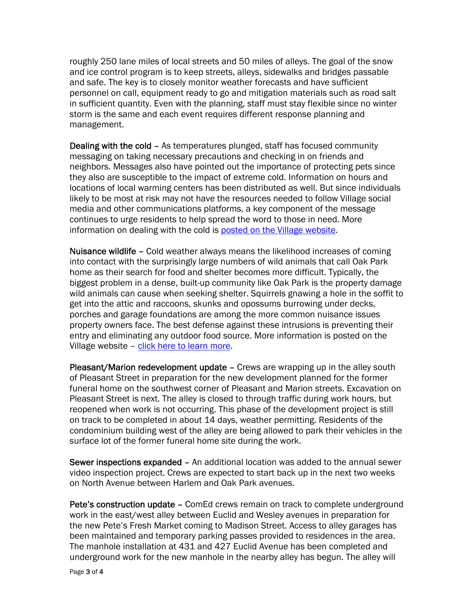roughly 250 lane miles of local streets and 50 miles of alleys. The goal of the snow and ice control program is to keep streets, alleys, sidewalks and bridges passable and safe. The key is to closely monitor weather forecasts and have sufficient personnel on call, equipment ready to go and mitigation materials such as road salt in sufficient quantity. Even with the planning, staff must stay flexible since no winter storm is the same and each event requires different response planning and management.

Dealing with the cold – As temperatures plunged, staff has focused community messaging on taking necessary precautions and checking in on friends and neighbors. Messages also have pointed out the importance of protecting pets since they also are susceptible to the impact of extreme cold. Information on hours and locations of local warming centers has been distributed as well. But since individuals likely to be most at risk may not have the resources needed to follow Village social media and other communications platforms, a key component of the message continues to urge residents to help spread the word to those in need. More information on dealing with the cold is posted on the Village website.

Nuisance wildlife – Cold weather always means the likelihood increases of coming into contact with the surprisingly large numbers of wild animals that call Oak Park home as their search for food and shelter becomes more difficult. Typically, the biggest problem in a dense, built-up community like Oak Park is the property damage wild animals can cause when seeking shelter. Squirrels gnawing a hole in the soffit to get into the attic and raccoons, skunks and opossums burrowing under decks, porches and garage foundations are among the more common nuisance issues property owners face. The best defense against these intrusions is preventing their entry and eliminating any outdoor food source. More information is posted on the Village website – click here to learn more.

Pleasant/Marion redevelopment update – Crews are wrapping up in the alley south of Pleasant Street in preparation for the new development planned for the former funeral home on the southwest corner of Pleasant and Marion streets. Excavation on Pleasant Street is next. The alley is closed to through traffic during work hours, but reopened when work is not occurring. This phase of the development project is still on track to be completed in about 14 days, weather permitting. Residents of the condominium building west of the alley are being allowed to park their vehicles in the surface lot of the former funeral home site during the work.

Sewer inspections expanded – An additional location was added to the annual sewer video inspection project. Crews are expected to start back up in the next two weeks on North Avenue between Harlem and Oak Park avenues.

Pete's construction update – ComEd crews remain on track to complete underground work in the east/west alley between Euclid and Wesley avenues in preparation for the new Pete's Fresh Market coming to Madison Street. Access to alley garages has been maintained and temporary parking passes provided to residences in the area. The manhole installation at 431 and 427 Euclid Avenue has been completed and underground work for the new manhole in the nearby alley has begun. The alley will